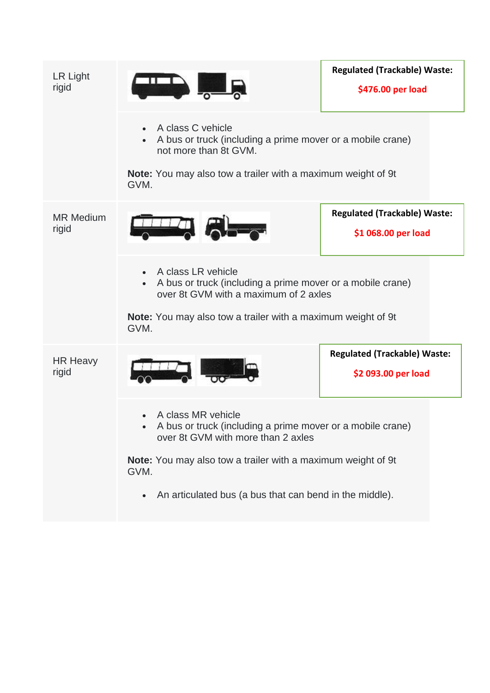| LR Light<br>rigid         |                                                                                                                                                                                                                       | <b>Regulated (Trackable) Waste:</b><br>\$476.00 per load   |  |
|---------------------------|-----------------------------------------------------------------------------------------------------------------------------------------------------------------------------------------------------------------------|------------------------------------------------------------|--|
|                           | A class C vehicle<br>A bus or truck (including a prime mover or a mobile crane)<br>not more than 8t GVM.                                                                                                              |                                                            |  |
|                           | <b>Note:</b> You may also tow a trailer with a maximum weight of 9t<br>GVM.                                                                                                                                           |                                                            |  |
| <b>MR Medium</b><br>rigid | ÆL                                                                                                                                                                                                                    | <b>Regulated (Trackable) Waste:</b><br>\$1 068.00 per load |  |
|                           | A class LR vehicle<br>$\bullet$<br>A bus or truck (including a prime mover or a mobile crane)<br>over 8t GVM with a maximum of 2 axles<br><b>Note:</b> You may also tow a trailer with a maximum weight of 9t<br>GVM. |                                                            |  |
| <b>HR Heavy</b><br>rigid  |                                                                                                                                                                                                                       | <b>Regulated (Trackable) Waste:</b><br>\$2 093.00 per load |  |
|                           | A class MR vehicle<br>A bus or truck (including a prime mover or a mobile crane)<br>over 8t GVM with more than 2 axles                                                                                                |                                                            |  |
|                           | Note: You may also tow a trailer with a maximum weight of 9t<br>GVM.                                                                                                                                                  |                                                            |  |
|                           | An articulated bus (a bus that can bend in the middle).                                                                                                                                                               |                                                            |  |